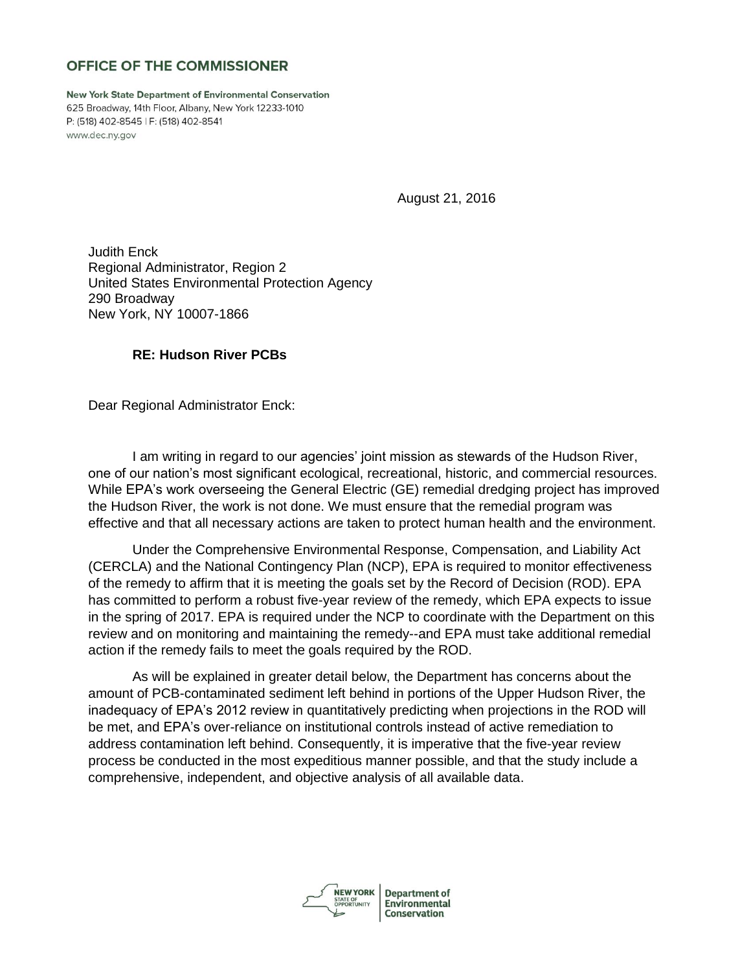# OFFICE OF THE COMMISSIONER

**New York State Department of Environmental Conservation** 625 Broadway, 14th Floor, Albany, New York 12233-1010 P: (518) 402-8545 | F: (518) 402-8541 www.dec.ny.gov

August 21, 2016

Judith Enck Regional Administrator, Region 2 United States Environmental Protection Agency 290 Broadway New York, NY 10007-1866

#### **RE: Hudson River PCBs**

Dear Regional Administrator Enck:

I am writing in regard to our agencies' joint mission as stewards of the Hudson River, one of our nation's most significant ecological, recreational, historic, and commercial resources. While EPA's work overseeing the General Electric (GE) remedial dredging project has improved the Hudson River, the work is not done. We must ensure that the remedial program was effective and that all necessary actions are taken to protect human health and the environment.

Under the Comprehensive Environmental Response, Compensation, and Liability Act (CERCLA) and the National Contingency Plan (NCP), EPA is required to monitor effectiveness of the remedy to affirm that it is meeting the goals set by the Record of Decision (ROD). EPA has committed to perform a robust five-year review of the remedy, which EPA expects to issue in the spring of 2017. EPA is required under the NCP to coordinate with the Department on this review and on monitoring and maintaining the remedy--and EPA must take additional remedial action if the remedy fails to meet the goals required by the ROD.

As will be explained in greater detail below, the Department has concerns about the amount of PCB-contaminated sediment left behind in portions of the Upper Hudson River, the inadequacy of EPA's 2012 review in quantitatively predicting when projections in the ROD will be met, and EPA's over-reliance on institutional controls instead of active remediation to address contamination left behind. Consequently, it is imperative that the five-year review process be conducted in the most expeditious manner possible, and that the study include a comprehensive, independent, and objective analysis of all available data.



**Department of** Environmental **Conservation**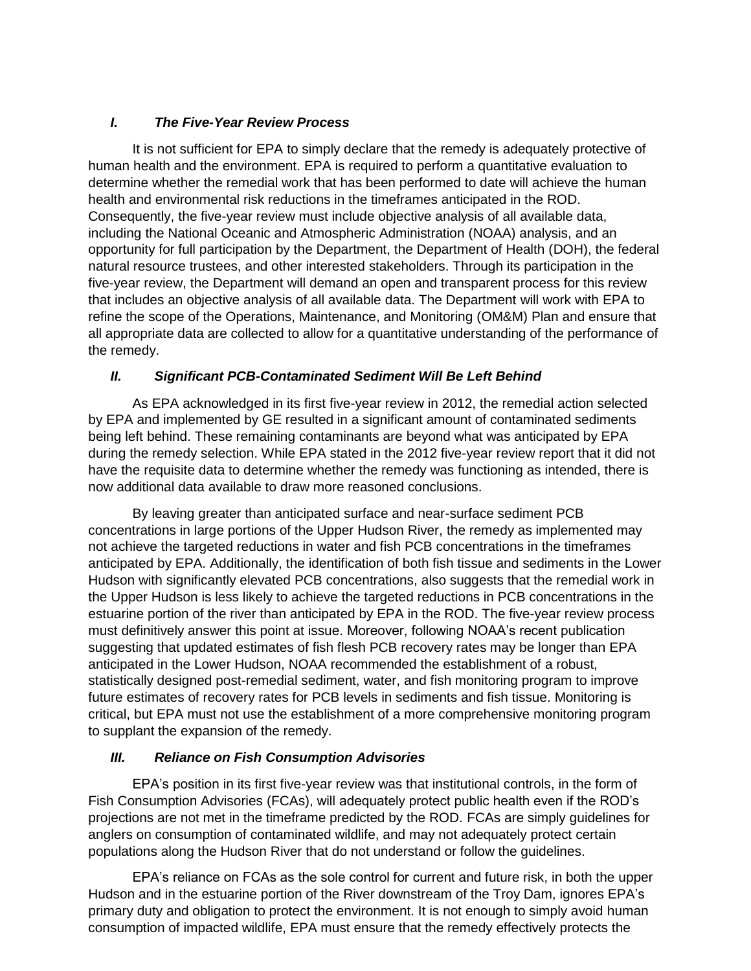## *I. The Five-Year Review Process*

It is not sufficient for EPA to simply declare that the remedy is adequately protective of human health and the environment. EPA is required to perform a quantitative evaluation to determine whether the remedial work that has been performed to date will achieve the human health and environmental risk reductions in the timeframes anticipated in the ROD. Consequently, the five-year review must include objective analysis of all available data, including the National Oceanic and Atmospheric Administration (NOAA) analysis, and an opportunity for full participation by the Department, the Department of Health (DOH), the federal natural resource trustees, and other interested stakeholders. Through its participation in the five-year review, the Department will demand an open and transparent process for this review that includes an objective analysis of all available data. The Department will work with EPA to refine the scope of the Operations, Maintenance, and Monitoring (OM&M) Plan and ensure that all appropriate data are collected to allow for a quantitative understanding of the performance of the remedy.

### *II. Significant PCB-Contaminated Sediment Will Be Left Behind*

As EPA acknowledged in its first five-year review in 2012, the remedial action selected by EPA and implemented by GE resulted in a significant amount of contaminated sediments being left behind. These remaining contaminants are beyond what was anticipated by EPA during the remedy selection. While EPA stated in the 2012 five-year review report that it did not have the requisite data to determine whether the remedy was functioning as intended, there is now additional data available to draw more reasoned conclusions.

By leaving greater than anticipated surface and near-surface sediment PCB concentrations in large portions of the Upper Hudson River, the remedy as implemented may not achieve the targeted reductions in water and fish PCB concentrations in the timeframes anticipated by EPA. Additionally, the identification of both fish tissue and sediments in the Lower Hudson with significantly elevated PCB concentrations, also suggests that the remedial work in the Upper Hudson is less likely to achieve the targeted reductions in PCB concentrations in the estuarine portion of the river than anticipated by EPA in the ROD. The five-year review process must definitively answer this point at issue. Moreover, following NOAA's recent publication suggesting that updated estimates of fish flesh PCB recovery rates may be longer than EPA anticipated in the Lower Hudson, NOAA recommended the establishment of a robust, statistically designed post-remedial sediment, water, and fish monitoring program to improve future estimates of recovery rates for PCB levels in sediments and fish tissue. Monitoring is critical, but EPA must not use the establishment of a more comprehensive monitoring program to supplant the expansion of the remedy.

## *III. Reliance on Fish Consumption Advisories*

EPA's position in its first five-year review was that institutional controls, in the form of Fish Consumption Advisories (FCAs), will adequately protect public health even if the ROD's projections are not met in the timeframe predicted by the ROD. FCAs are simply guidelines for anglers on consumption of contaminated wildlife, and may not adequately protect certain populations along the Hudson River that do not understand or follow the guidelines.

EPA's reliance on FCAs as the sole control for current and future risk, in both the upper Hudson and in the estuarine portion of the River downstream of the Troy Dam, ignores EPA's primary duty and obligation to protect the environment. It is not enough to simply avoid human consumption of impacted wildlife, EPA must ensure that the remedy effectively protects the